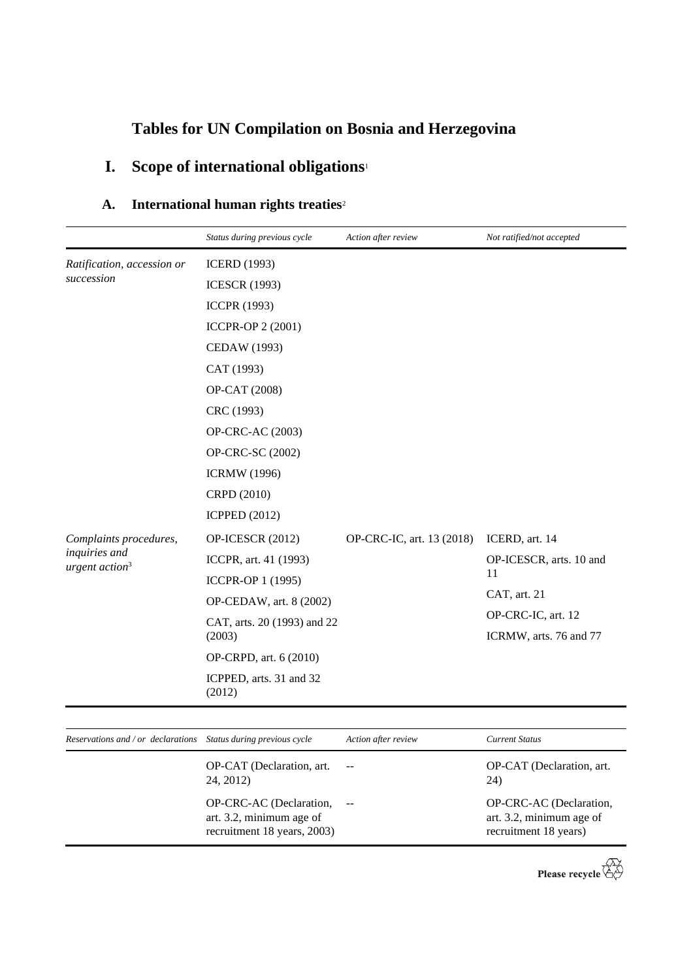# **Tables for UN Compilation on Bosnia and Herzegovina**

# **I. Scope of international obligations**<sup>1</sup>

### A. International human rights treaties<sup>2</sup>

|                                                                       | Status during previous cycle           | Action after review       | Not ratified/not accepted                    |
|-----------------------------------------------------------------------|----------------------------------------|---------------------------|----------------------------------------------|
| Ratification, accession or                                            | <b>ICERD</b> (1993)                    |                           |                                              |
| succession                                                            | <b>ICESCR</b> (1993)                   |                           |                                              |
|                                                                       | <b>ICCPR (1993)</b>                    |                           |                                              |
|                                                                       | <b>ICCPR-OP 2 (2001)</b>               |                           |                                              |
|                                                                       | CEDAW (1993)                           |                           |                                              |
|                                                                       | CAT (1993)                             |                           |                                              |
|                                                                       | OP-CAT (2008)                          |                           |                                              |
|                                                                       | CRC (1993)                             |                           |                                              |
|                                                                       | OP-CRC-AC (2003)                       |                           |                                              |
|                                                                       | OP-CRC-SC (2002)                       |                           |                                              |
|                                                                       | <b>ICRMW</b> (1996)                    |                           |                                              |
|                                                                       | CRPD (2010)                            |                           |                                              |
|                                                                       | <b>ICPPED</b> (2012)                   |                           |                                              |
| Complaints procedures,<br>inquiries and<br>urgent action <sup>3</sup> | OP-ICESCR (2012)                       | OP-CRC-IC, art. 13 (2018) | ICERD, art. 14                               |
|                                                                       | ICCPR, art. 41 (1993)                  |                           | OP-ICESCR, arts. 10 and                      |
|                                                                       | ICCPR-OP 1 (1995)                      |                           | 11                                           |
|                                                                       | OP-CEDAW, art. 8 (2002)                |                           | CAT, art. 21                                 |
|                                                                       | CAT, arts. 20 (1993) and 22<br>(2003)  |                           | OP-CRC-IC, art. 12<br>ICRMW, arts. 76 and 77 |
|                                                                       | OP-CRPD, art. 6 (2010)                 |                           |                                              |
|                                                                       | ICPPED, arts. 31 and 32<br>(2012)      |                           |                                              |
|                                                                       |                                        |                           |                                              |
| Reservations and / or declarations                                    | Status during previous cycle           | Action after review       | <b>Current Status</b>                        |
|                                                                       | OP-CAT (Declaration, art.<br>24, 2012) | $\sim$                    | OP-CAT (Declaration, art.<br>24)             |
|                                                                       | OP-CRC-AC (Declaration,                | $\overline{a}$            | OP-CRC-AC (Declaration,                      |

art. 3.2, minimum age of recruitment 18 years, 2003) OP-CRC-AC (Declaration, art. 3.2, minimum age of recruitment 18 years)

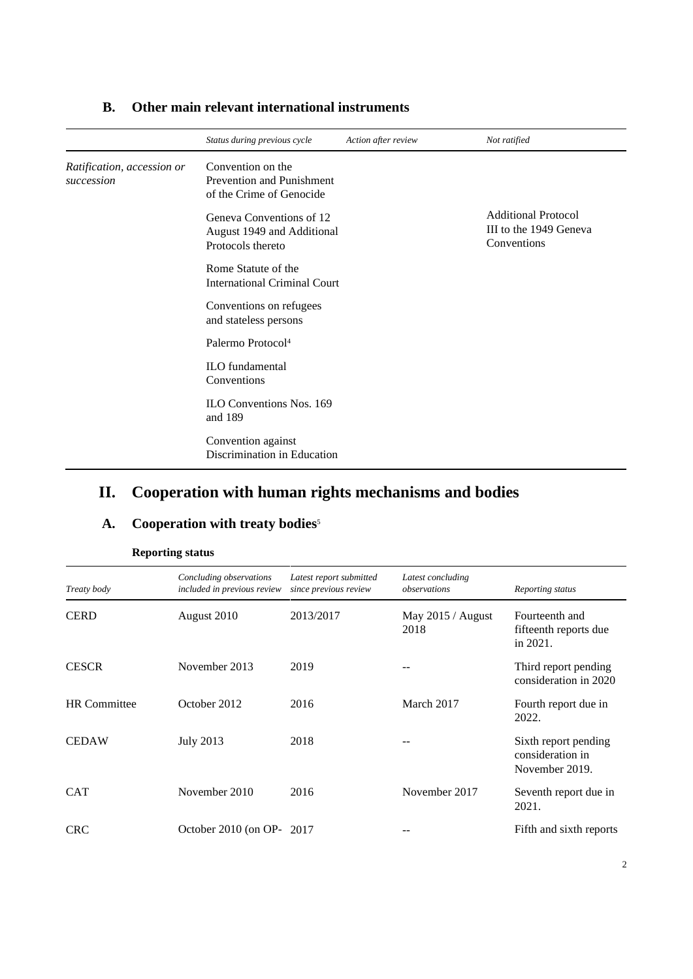|                                          | Status during previous cycle                                                | Action after review | Not ratified                                                        |
|------------------------------------------|-----------------------------------------------------------------------------|---------------------|---------------------------------------------------------------------|
| Ratification, accession or<br>succession | Convention on the<br>Prevention and Punishment<br>of the Crime of Genocide  |                     |                                                                     |
|                                          | Geneva Conventions of 12<br>August 1949 and Additional<br>Protocols thereto |                     | <b>Additional Protocol</b><br>III to the 1949 Geneva<br>Conventions |
|                                          | Rome Statute of the<br><b>International Criminal Court</b>                  |                     |                                                                     |
|                                          | Conventions on refugees<br>and stateless persons                            |                     |                                                                     |
|                                          | Palermo Protocol <sup>4</sup>                                               |                     |                                                                     |
|                                          | ILO fundamental<br>Conventions                                              |                     |                                                                     |
|                                          | <b>ILO Conventions Nos. 169</b><br>and 189                                  |                     |                                                                     |
|                                          | Convention against<br>Discrimination in Education                           |                     |                                                                     |

### **B. Other main relevant international instruments**

## **II. Cooperation with human rights mechanisms and bodies**

# A. Cooperation with treaty bodies<sup>5</sup>

| Treaty body         | Concluding observations<br>included in previous review | Latest report submitted<br>since previous review | Latest concluding<br>observations | Reporting status                                           |
|---------------------|--------------------------------------------------------|--------------------------------------------------|-----------------------------------|------------------------------------------------------------|
| <b>CERD</b>         | August 2010                                            | 2013/2017                                        | May $2015 /$ August<br>2018       | Fourteenth and<br>fifteenth reports due<br>in 2021.        |
| <b>CESCR</b>        | November 2013                                          | 2019                                             |                                   | Third report pending<br>consideration in 2020              |
| <b>HR</b> Committee | October 2012                                           | 2016                                             | March 2017                        | Fourth report due in<br>2022.                              |
| <b>CEDAW</b>        | <b>July 2013</b>                                       | 2018                                             |                                   | Sixth report pending<br>consideration in<br>November 2019. |
| <b>CAT</b>          | November 2010                                          | 2016                                             | November 2017                     | Seventh report due in<br>2021.                             |
| <b>CRC</b>          | October 2010 (on OP- 2017                              |                                                  |                                   | Fifth and sixth reports                                    |

#### **Reporting status**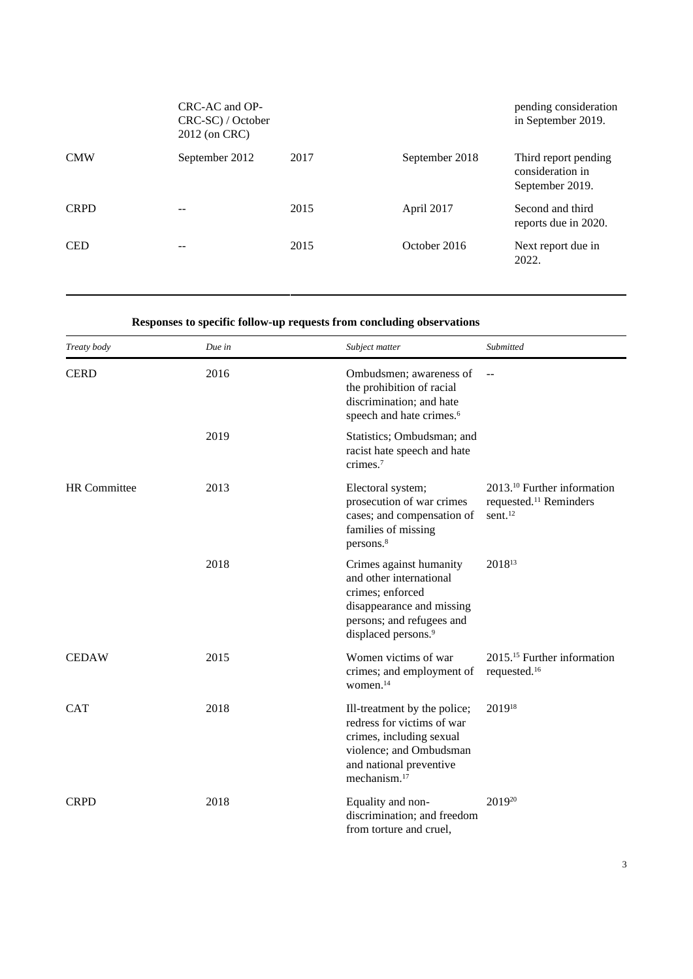|             | $CRC$ -AC and $OP$ -<br>CRC-SC) / October<br>2012 (on CRC) |      |                | pending consideration<br>in September 2019.                 |
|-------------|------------------------------------------------------------|------|----------------|-------------------------------------------------------------|
| <b>CMW</b>  | September 2012                                             | 2017 | September 2018 | Third report pending<br>consideration in<br>September 2019. |
| <b>CRPD</b> |                                                            | 2015 | April 2017     | Second and third<br>reports due in 2020.                    |
| <b>CED</b>  |                                                            | 2015 | October 2016   | Next report due in<br>2022.                                 |

### **Responses to specific follow-up requests from concluding observations**

| Treaty body         | Due in | Subject matter                                                                                                                                                           | Submitted                                                                                            |
|---------------------|--------|--------------------------------------------------------------------------------------------------------------------------------------------------------------------------|------------------------------------------------------------------------------------------------------|
| <b>CERD</b>         | 2016   | Ombudsmen; awareness of<br>the prohibition of racial<br>discrimination; and hate<br>speech and hate crimes. <sup>6</sup>                                                 | $\overline{a}$                                                                                       |
|                     | 2019   | Statistics; Ombudsman; and<br>racist hate speech and hate<br>crimes. <sup>7</sup>                                                                                        |                                                                                                      |
| <b>HR</b> Committee | 2013   | Electoral system;<br>prosecution of war crimes<br>cases; and compensation of<br>families of missing<br>persons. <sup>8</sup>                                             | 2013. <sup>10</sup> Further information<br>requested. <sup>11</sup> Reminders<br>sent. <sup>12</sup> |
|                     | 2018   | Crimes against humanity<br>and other international<br>crimes; enforced<br>disappearance and missing<br>persons; and refugees and<br>displaced persons. <sup>9</sup>      | 2018 <sup>13</sup>                                                                                   |
| <b>CEDAW</b>        | 2015   | Women victims of war<br>crimes; and employment of<br>women. <sup>14</sup>                                                                                                | 2015. <sup>15</sup> Further information<br>requested. <sup>16</sup>                                  |
| <b>CAT</b>          | 2018   | Ill-treatment by the police;<br>redress for victims of war<br>crimes, including sexual<br>violence; and Ombudsman<br>and national preventive<br>mechanism. <sup>17</sup> | 201918                                                                                               |
| <b>CRPD</b>         | 2018   | Equality and non-<br>discrimination; and freedom<br>from torture and cruel,                                                                                              | 201920                                                                                               |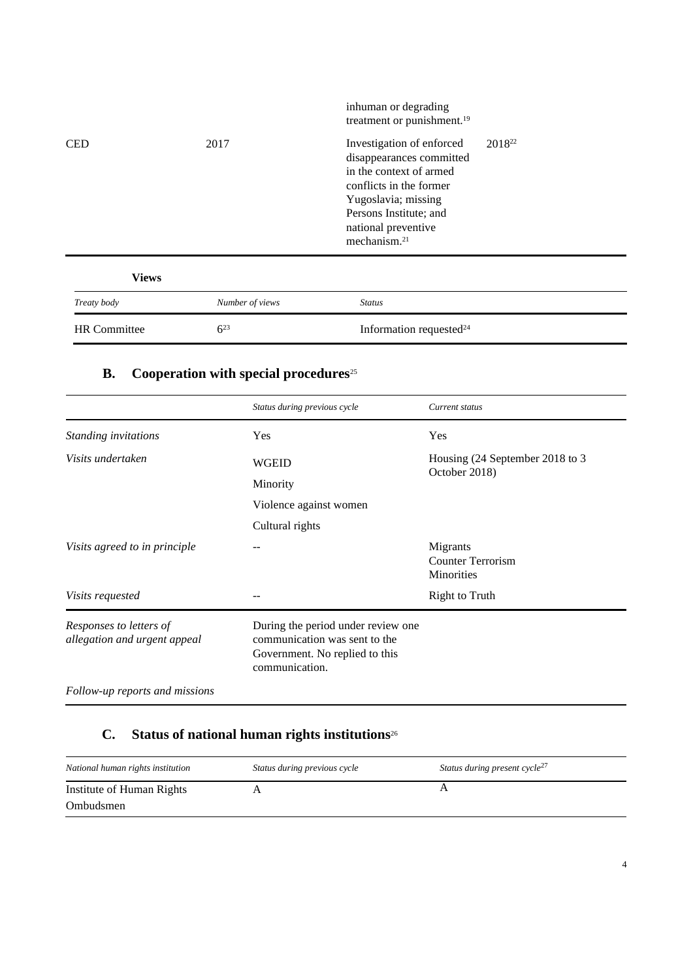| <b>HR</b> Committee | $6^{23}$        | Information requested <sup>24</sup>                                                                                                                                                                             |                    |
|---------------------|-----------------|-----------------------------------------------------------------------------------------------------------------------------------------------------------------------------------------------------------------|--------------------|
| Treaty body         | Number of views | <b>Status</b>                                                                                                                                                                                                   |                    |
| <b>Views</b>        |                 |                                                                                                                                                                                                                 |                    |
| <b>CED</b>          | 2017            | Investigation of enforced<br>disappearances committed<br>in the context of armed<br>conflicts in the former<br>Yugoslavia; missing<br>Persons Institute; and<br>national preventive<br>mechanism. <sup>21</sup> | 2018 <sup>22</sup> |
|                     |                 | inhuman or degrading<br>treatment or punishment. <sup>19</sup>                                                                                                                                                  |                    |

## **B. Cooperation with special procedures**<sup>25</sup>

|                                                         | Status during previous cycle                                                                                            | Current status                                     |
|---------------------------------------------------------|-------------------------------------------------------------------------------------------------------------------------|----------------------------------------------------|
| Standing invitations                                    | Yes                                                                                                                     | Yes                                                |
| Visits undertaken                                       | <b>WGEID</b>                                                                                                            | Housing (24 September 2018 to 3<br>October 2018)   |
|                                                         | Minority                                                                                                                |                                                    |
|                                                         | Violence against women                                                                                                  |                                                    |
|                                                         | Cultural rights                                                                                                         |                                                    |
| Visits agreed to in principle                           |                                                                                                                         | Migrants<br><b>Counter Terrorism</b><br>Minorities |
| Visits requested                                        |                                                                                                                         | <b>Right to Truth</b>                              |
| Responses to letters of<br>allegation and urgent appeal | During the period under review one<br>communication was sent to the<br>Government. No replied to this<br>communication. |                                                    |
|                                                         |                                                                                                                         |                                                    |

*Follow-up reports and missions*

## **C. Status of national human rights institutions**<sup>26</sup>

| National human rights institution      | Status during previous cycle | Status during present cycle <sup>21</sup> |
|----------------------------------------|------------------------------|-------------------------------------------|
| Institute of Human Rights<br>Ombudsmen |                              |                                           |
|                                        |                              |                                           |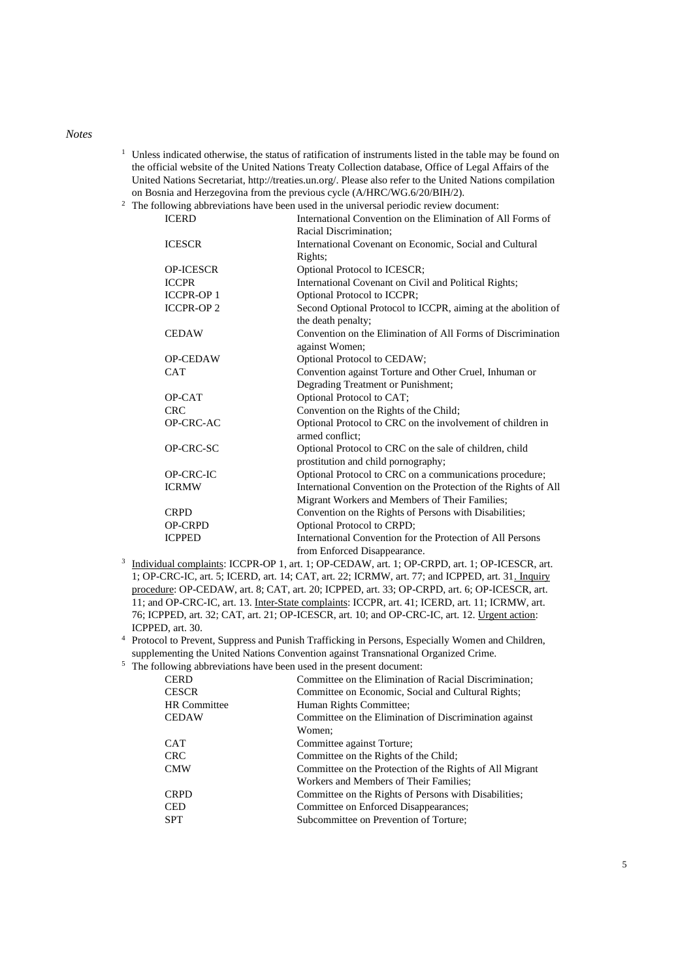#### *Notes*

- <sup>1</sup> Unless indicated otherwise, the status of ratification of instruments listed in the table may be found on the official website of the United Nations Treaty Collection database, Office of Legal Affairs of the United Nations Secretariat, http://treaties.un.org/. Please also refer to the United Nations compilation on Bosnia and Herzegovina from the previous cycle (A/HRC/WG.6/20/BIH/2).
- <sup>2</sup> The following abbreviations have been used in the universal periodic review document:

| <b>ICERD</b>      | International Convention on the Elimination of All Forms of     |
|-------------------|-----------------------------------------------------------------|
|                   | Racial Discrimination;                                          |
| <b>ICESCR</b>     | International Covenant on Economic, Social and Cultural         |
|                   | Rights;                                                         |
| <b>OP-ICESCR</b>  | Optional Protocol to ICESCR;                                    |
| <b>ICCPR</b>      | International Covenant on Civil and Political Rights;           |
| <b>ICCPR-OP1</b>  | Optional Protocol to ICCPR;                                     |
| <b>ICCPR-OP 2</b> | Second Optional Protocol to ICCPR, aiming at the abolition of   |
|                   | the death penalty;                                              |
| <b>CEDAW</b>      | Convention on the Elimination of All Forms of Discrimination    |
|                   | against Women;                                                  |
| <b>OP-CEDAW</b>   | Optional Protocol to CEDAW;                                     |
| <b>CAT</b>        | Convention against Torture and Other Cruel, Inhuman or          |
|                   | Degrading Treatment or Punishment;                              |
| OP-CAT            | Optional Protocol to CAT;                                       |
| <b>CRC</b>        | Convention on the Rights of the Child;                          |
| OP-CRC-AC         | Optional Protocol to CRC on the involvement of children in      |
|                   | armed conflict:                                                 |
| OP-CRC-SC         | Optional Protocol to CRC on the sale of children, child         |
|                   | prostitution and child pornography;                             |
| OP-CRC-IC         | Optional Protocol to CRC on a communications procedure;         |
| <b>ICRMW</b>      | International Convention on the Protection of the Rights of All |
|                   | Migrant Workers and Members of Their Families;                  |
| <b>CRPD</b>       | Convention on the Rights of Persons with Disabilities;          |
| <b>OP-CRPD</b>    | Optional Protocol to CRPD;                                      |
| <b>ICPPED</b>     | International Convention for the Protection of All Persons      |
|                   | from Enforced Disappearance.                                    |

- <sup>3</sup> Individual complaints: ICCPR-OP 1, art. 1; OP-CEDAW, art. 1; OP-CRPD, art. 1; OP-ICESCR, art. 1; OP-CRC-IC, art. 5; ICERD, art. 14; CAT, art. 22; ICRMW, art. 77; and ICPPED, art. 31. Inquiry procedure: OP-CEDAW, art. 8; CAT, art. 20; ICPPED, art. 33; OP-CRPD, art. 6; OP-ICESCR, art. 11; and OP-CRC-IC, art. 13. Inter-State complaints: ICCPR, art. 41; ICERD, art. 11; ICRMW, art. 76; ICPPED, art. 32; CAT, art. 21; OP-ICESCR, art. 10; and OP-CRC-IC, art. 12. Urgent action: ICPPED, art. 30.
- <sup>4</sup> Protocol to Prevent, Suppress and Punish Trafficking in Persons, Especially Women and Children, supplementing the United Nations Convention against Transnational Organized Crime.
- <sup>5</sup> The following abbreviations have been used in the present document:

| <b>CERD</b>         | Committee on the Elimination of Racial Discrimination;   |
|---------------------|----------------------------------------------------------|
| <b>CESCR</b>        | Committee on Economic, Social and Cultural Rights;       |
| <b>HR</b> Committee | Human Rights Committee;                                  |
| <b>CEDAW</b>        | Committee on the Elimination of Discrimination against   |
|                     | Women:                                                   |
| <b>CAT</b>          | Committee against Torture;                               |
| <b>CRC</b>          | Committee on the Rights of the Child;                    |
| <b>CMW</b>          | Committee on the Protection of the Rights of All Migrant |
|                     | Workers and Members of Their Families:                   |
| <b>CRPD</b>         | Committee on the Rights of Persons with Disabilities;    |
| <b>CED</b>          | Committee on Enforced Disappearances;                    |
| <b>SPT</b>          | Subcommittee on Prevention of Torture;                   |
|                     |                                                          |